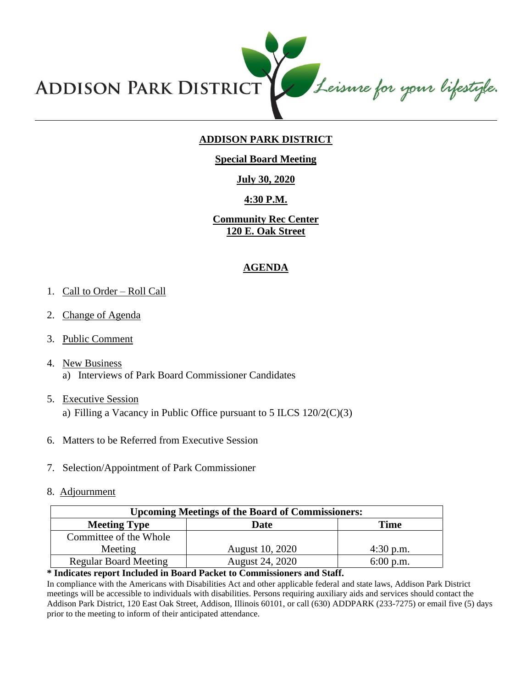

# **ADDISON PARK DISTRICT**

### **Special Board Meeting**

## **July 30, 2020**

## **4:30 P.M.**

**Community Rec Center 120 E. Oak Street**

#### **AGENDA**

#### 1. Call to Order – Roll Call

- 2. Change of Agenda
- 3. Public Comment
- 4. New Business a) Interviews of Park Board Commissioner Candidates
- 5. Executive Session a) Filling a Vacancy in Public Office pursuant to  $5$  ILCS  $120/2(C)(3)$
- 6. Matters to be Referred from Executive Session
- 7. Selection/Appointment of Park Commissioner
- 8. Adjournment

| <b>Upcoming Meetings of the Board of Commissioners:</b> |                 |             |
|---------------------------------------------------------|-----------------|-------------|
| <b>Meeting Type</b>                                     | Date            | Time        |
| Committee of the Whole                                  |                 |             |
| Meeting                                                 | August 10, 2020 | $4:30$ p.m. |
| <b>Regular Board Meeting</b>                            | August 24, 2020 | $6:00$ p.m. |

#### **\* Indicates report Included in Board Packet to Commissioners and Staff.**

In compliance with the Americans with Disabilities Act and other applicable federal and state laws, Addison Park District meetings will be accessible to individuals with disabilities. Persons requiring auxiliary aids and services should contact the Addison Park District, 120 East Oak Street, Addison, Illinois 60101, or call (630) ADDPARK (233-7275) or email five (5) days prior to the meeting to inform of their anticipated attendance.